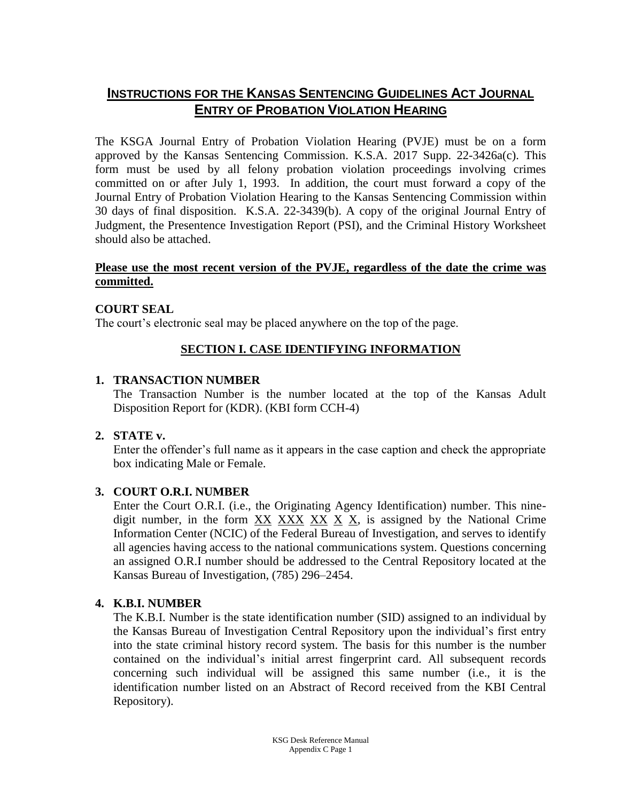# **INSTRUCTIONS FOR THE KANSAS SENTENCING GUIDELINES ACT JOURNAL ENTRY OF PROBATION VIOLATION HEARING**

The KSGA Journal Entry of Probation Violation Hearing (PVJE) must be on a form approved by the Kansas Sentencing Commission. K.S.A. 2017 Supp. 22-3426a(c). This form must be used by all felony probation violation proceedings involving crimes committed on or after July 1, 1993. In addition, the court must forward a copy of the Journal Entry of Probation Violation Hearing to the Kansas Sentencing Commission within 30 days of final disposition. K.S.A. 22-3439(b). A copy of the original Journal Entry of Judgment, the Presentence Investigation Report (PSI), and the Criminal History Worksheet should also be attached.

## **Please use the most recent version of the PVJE, regardless of the date the crime was committed.**

## **COURT SEAL**

The court's electronic seal may be placed anywhere on the top of the page.

## **SECTION I. CASE IDENTIFYING INFORMATION**

## **1. TRANSACTION NUMBER**

The Transaction Number is the number located at the top of the Kansas Adult Disposition Report for (KDR). (KBI form CCH-4)

#### **2. STATE v.**

Enter the offender's full name as it appears in the case caption and check the appropriate box indicating Male or Female.

# **3. COURT O.R.I. NUMBER**

Enter the Court O.R.I. (i.e., the Originating Agency Identification) number. This ninedigit number, in the form XX XXX XX X X, is assigned by the National Crime Information Center (NCIC) of the Federal Bureau of Investigation, and serves to identify all agencies having access to the national communications system. Questions concerning an assigned O.R.I number should be addressed to the Central Repository located at the Kansas Bureau of Investigation, (785) 296–2454.

# **4. K.B.I. NUMBER**

The K.B.I. Number is the state identification number (SID) assigned to an individual by the Kansas Bureau of Investigation Central Repository upon the individual's first entry into the state criminal history record system. The basis for this number is the number contained on the individual's initial arrest fingerprint card. All subsequent records concerning such individual will be assigned this same number (i.e., it is the identification number listed on an Abstract of Record received from the KBI Central Repository).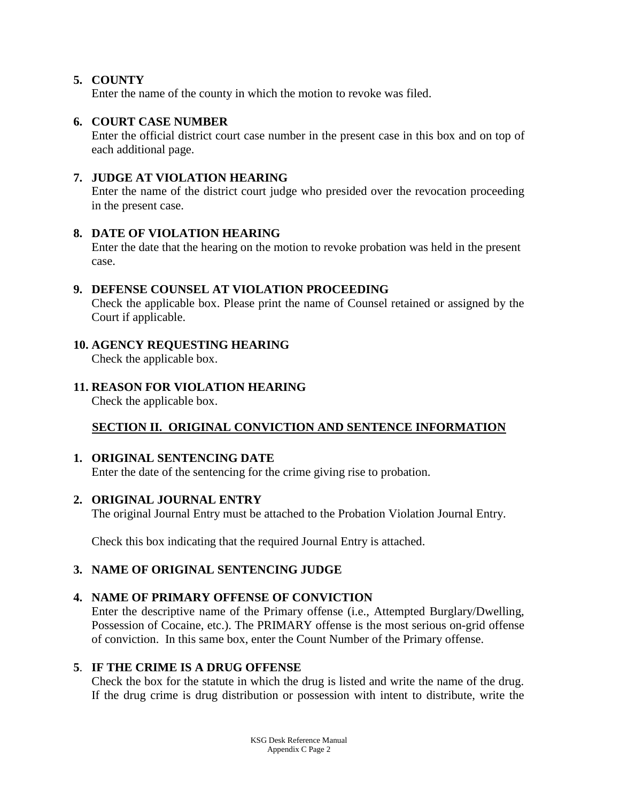# **5. COUNTY**

Enter the name of the county in which the motion to revoke was filed.

## **6. COURT CASE NUMBER**

Enter the official district court case number in the present case in this box and on top of each additional page.

# **7. JUDGE AT VIOLATION HEARING**

Enter the name of the district court judge who presided over the revocation proceeding in the present case.

## **8. DATE OF VIOLATION HEARING**

Enter the date that the hearing on the motion to revoke probation was held in the present case.

## **9. DEFENSE COUNSEL AT VIOLATION PROCEEDING**

Check the applicable box. Please print the name of Counsel retained or assigned by the Court if applicable.

# **10. AGENCY REQUESTING HEARING**

Check the applicable box.

# **11. REASON FOR VIOLATION HEARING**

Check the applicable box.

# **SECTION II. ORIGINAL CONVICTION AND SENTENCE INFORMATION**

# **1. ORIGINAL SENTENCING DATE**

Enter the date of the sentencing for the crime giving rise to probation.

# **2. ORIGINAL JOURNAL ENTRY**

The original Journal Entry must be attached to the Probation Violation Journal Entry.

Check this box indicating that the required Journal Entry is attached.

# **3. NAME OF ORIGINAL SENTENCING JUDGE**

# **4. NAME OF PRIMARY OFFENSE OF CONVICTION**

Enter the descriptive name of the Primary offense (i.e., Attempted Burglary/Dwelling, Possession of Cocaine, etc.). The PRIMARY offense is the most serious on-grid offense of conviction. In this same box, enter the Count Number of the Primary offense.

# **5**. **IF THE CRIME IS A DRUG OFFENSE**

Check the box for the statute in which the drug is listed and write the name of the drug. If the drug crime is drug distribution or possession with intent to distribute, write the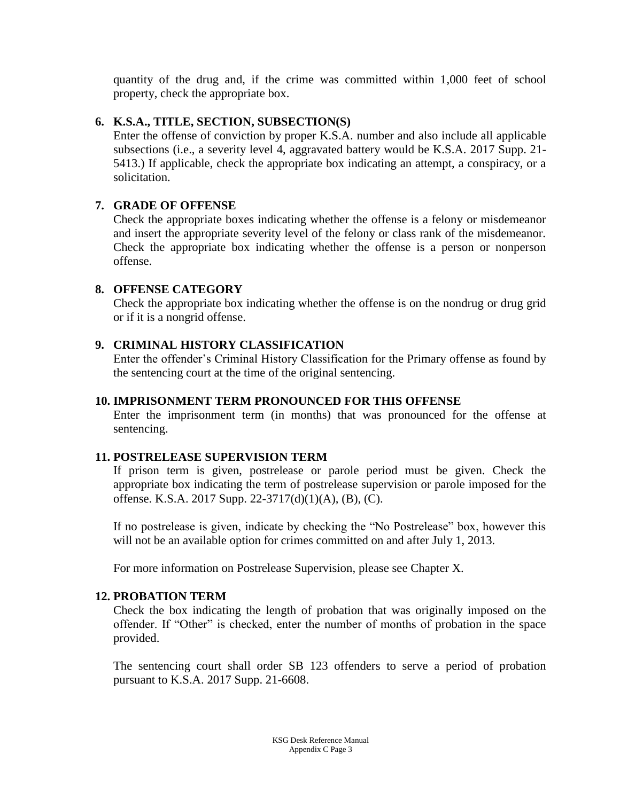quantity of the drug and, if the crime was committed within 1,000 feet of school property, check the appropriate box.

#### **6. K.S.A., TITLE, SECTION, SUBSECTION(S)**

Enter the offense of conviction by proper K.S.A. number and also include all applicable subsections (i.e., a severity level 4, aggravated battery would be K.S.A. 2017 Supp. 21- 5413.) If applicable, check the appropriate box indicating an attempt, a conspiracy, or a solicitation.

## **7. GRADE OF OFFENSE**

Check the appropriate boxes indicating whether the offense is a felony or misdemeanor and insert the appropriate severity level of the felony or class rank of the misdemeanor. Check the appropriate box indicating whether the offense is a person or nonperson offense.

## **8. OFFENSE CATEGORY**

Check the appropriate box indicating whether the offense is on the nondrug or drug grid or if it is a nongrid offense.

# **9. CRIMINAL HISTORY CLASSIFICATION**

Enter the offender's Criminal History Classification for the Primary offense as found by the sentencing court at the time of the original sentencing.

#### **10. IMPRISONMENT TERM PRONOUNCED FOR THIS OFFENSE**

Enter the imprisonment term (in months) that was pronounced for the offense at sentencing.

# **11. POSTRELEASE SUPERVISION TERM**

If prison term is given, postrelease or parole period must be given. Check the appropriate box indicating the term of postrelease supervision or parole imposed for the offense. K.S.A. 2017 Supp. 22-3717(d)(1)(A), (B), (C).

If no postrelease is given, indicate by checking the "No Postrelease" box, however this will not be an available option for crimes committed on and after July 1, 2013.

For more information on Postrelease Supervision, please see Chapter X.

#### **12. PROBATION TERM**

Check the box indicating the length of probation that was originally imposed on the offender. If "Other" is checked, enter the number of months of probation in the space provided.

The sentencing court shall order SB 123 offenders to serve a period of probation pursuant to K.S.A. 2017 Supp. 21-6608.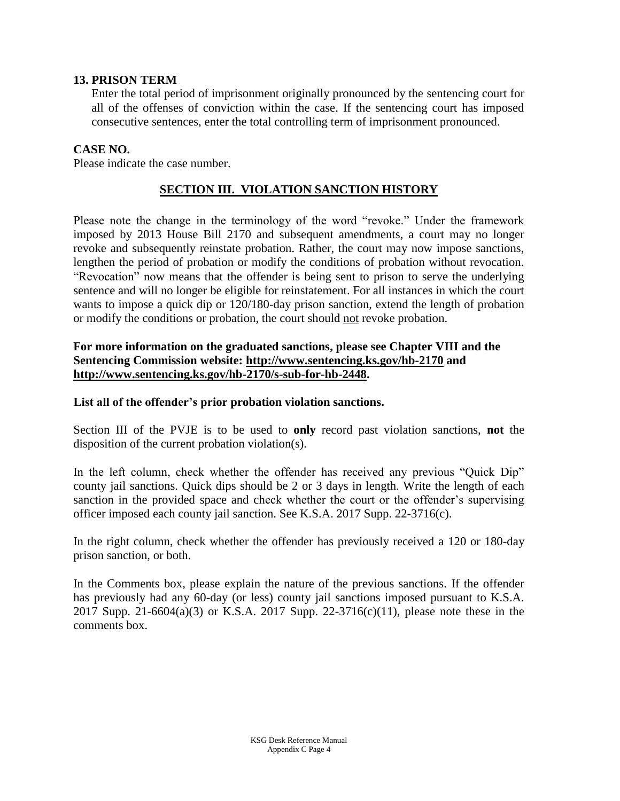#### **13. PRISON TERM**

Enter the total period of imprisonment originally pronounced by the sentencing court for all of the offenses of conviction within the case. If the sentencing court has imposed consecutive sentences, enter the total controlling term of imprisonment pronounced.

#### **CASE NO.**

Please indicate the case number.

#### **SECTION III. VIOLATION SANCTION HISTORY**

Please note the change in the terminology of the word "revoke." Under the framework imposed by 2013 House Bill 2170 and subsequent amendments, a court may no longer revoke and subsequently reinstate probation. Rather, the court may now impose sanctions, lengthen the period of probation or modify the conditions of probation without revocation. "Revocation" now means that the offender is being sent to prison to serve the underlying sentence and will no longer be eligible for reinstatement. For all instances in which the court wants to impose a quick dip or 120/180-day prison sanction, extend the length of probation or modify the conditions or probation, the court should not revoke probation.

#### **For more information on the graduated sanctions, please see Chapter VIII and the Sentencing Commission website:<http://www.sentencing.ks.gov/hb-2170> and [http://www.sentencing.ks.gov/hb-2170/s-sub-for-hb-2448.](http://www.sentencing.ks.gov/hb-2170/s-sub-for-hb-2448)**

#### **List all of the offender's prior probation violation sanctions.**

Section III of the PVJE is to be used to **only** record past violation sanctions, **not** the disposition of the current probation violation(s).

In the left column, check whether the offender has received any previous "Quick Dip" county jail sanctions. Quick dips should be 2 or 3 days in length. Write the length of each sanction in the provided space and check whether the court or the offender's supervising officer imposed each county jail sanction. See K.S.A. 2017 Supp. 22-3716(c).

In the right column, check whether the offender has previously received a 120 or 180-day prison sanction, or both.

In the Comments box, please explain the nature of the previous sanctions. If the offender has previously had any 60-day (or less) county jail sanctions imposed pursuant to K.S.A. 2017 Supp. 21-6604(a)(3) or K.S.A. 2017 Supp. 22-3716(c)(11), please note these in the comments box.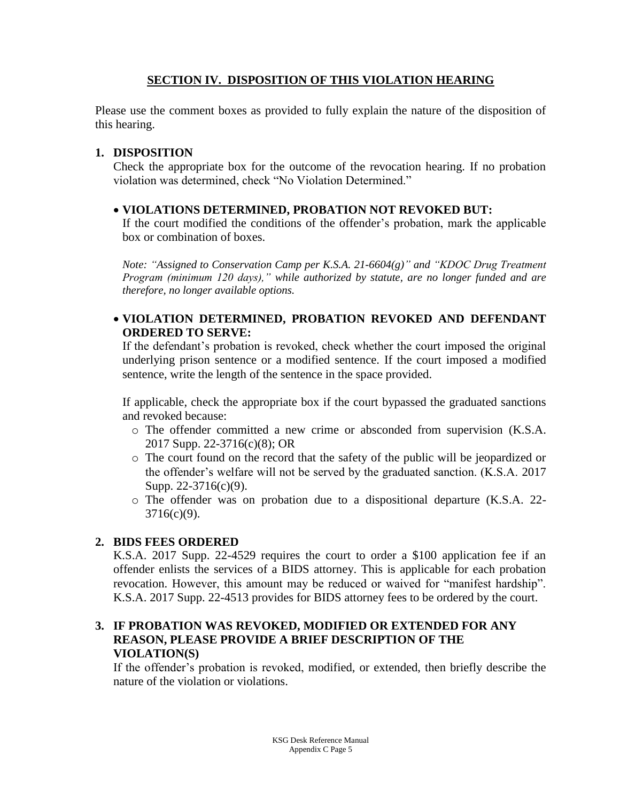# **SECTION IV. DISPOSITION OF THIS VIOLATION HEARING**

Please use the comment boxes as provided to fully explain the nature of the disposition of this hearing.

## **1. DISPOSITION**

Check the appropriate box for the outcome of the revocation hearing. If no probation violation was determined, check "No Violation Determined."

## **VIOLATIONS DETERMINED, PROBATION NOT REVOKED BUT:**

If the court modified the conditions of the offender's probation, mark the applicable box or combination of boxes.

*Note: "Assigned to Conservation Camp per K.S.A. 21-6604(g)" and "KDOC Drug Treatment Program (minimum 120 days)," while authorized by statute, are no longer funded and are therefore, no longer available options.*

# **VIOLATION DETERMINED, PROBATION REVOKED AND DEFENDANT ORDERED TO SERVE:**

If the defendant's probation is revoked, check whether the court imposed the original underlying prison sentence or a modified sentence. If the court imposed a modified sentence, write the length of the sentence in the space provided.

If applicable, check the appropriate box if the court bypassed the graduated sanctions and revoked because:

- o The offender committed a new crime or absconded from supervision (K.S.A. 2017 Supp. 22-3716(c)(8); OR
- o The court found on the record that the safety of the public will be jeopardized or the offender's welfare will not be served by the graduated sanction. (K.S.A. 2017 Supp. 22-3716(c)(9).
- o The offender was on probation due to a dispositional departure (K.S.A. 22-  $3716(c)(9)$ .

# **2. BIDS FEES ORDERED**

K.S.A. 2017 Supp. 22-4529 requires the court to order a \$100 application fee if an offender enlists the services of a BIDS attorney. This is applicable for each probation revocation. However, this amount may be reduced or waived for "manifest hardship". K.S.A. 2017 Supp. 22-4513 provides for BIDS attorney fees to be ordered by the court.

## **3. IF PROBATION WAS REVOKED, MODIFIED OR EXTENDED FOR ANY REASON, PLEASE PROVIDE A BRIEF DESCRIPTION OF THE VIOLATION(S)**

If the offender's probation is revoked, modified, or extended, then briefly describe the nature of the violation or violations.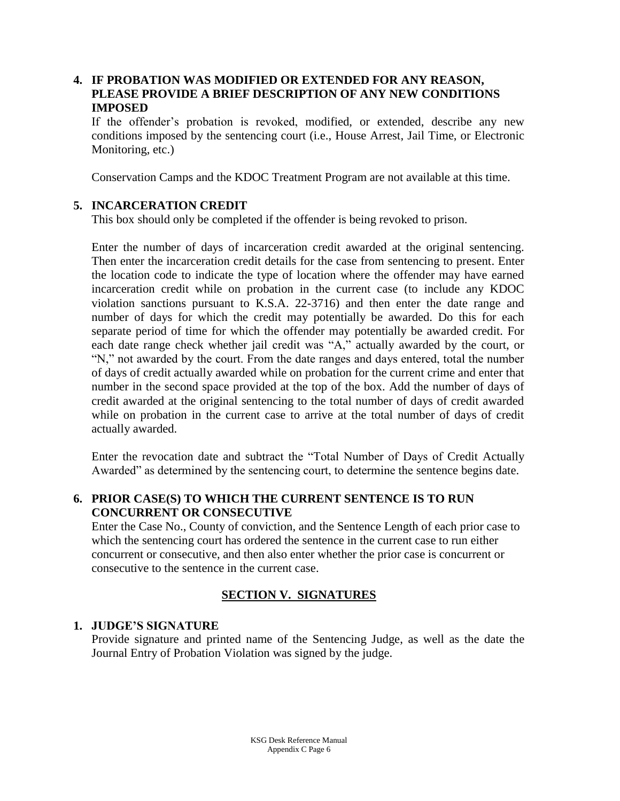# **4. IF PROBATION WAS MODIFIED OR EXTENDED FOR ANY REASON, PLEASE PROVIDE A BRIEF DESCRIPTION OF ANY NEW CONDITIONS IMPOSED**

If the offender's probation is revoked, modified, or extended, describe any new conditions imposed by the sentencing court (i.e., House Arrest, Jail Time, or Electronic Monitoring, etc.)

Conservation Camps and the KDOC Treatment Program are not available at this time.

## **5. INCARCERATION CREDIT**

This box should only be completed if the offender is being revoked to prison.

Enter the number of days of incarceration credit awarded at the original sentencing. Then enter the incarceration credit details for the case from sentencing to present. Enter the location code to indicate the type of location where the offender may have earned incarceration credit while on probation in the current case (to include any KDOC violation sanctions pursuant to K.S.A. 22-3716) and then enter the date range and number of days for which the credit may potentially be awarded. Do this for each separate period of time for which the offender may potentially be awarded credit. For each date range check whether jail credit was "A," actually awarded by the court, or "N," not awarded by the court. From the date ranges and days entered, total the number of days of credit actually awarded while on probation for the current crime and enter that number in the second space provided at the top of the box. Add the number of days of credit awarded at the original sentencing to the total number of days of credit awarded while on probation in the current case to arrive at the total number of days of credit actually awarded.

Enter the revocation date and subtract the "Total Number of Days of Credit Actually Awarded" as determined by the sentencing court, to determine the sentence begins date.

## **6. PRIOR CASE(S) TO WHICH THE CURRENT SENTENCE IS TO RUN CONCURRENT OR CONSECUTIVE**

Enter the Case No., County of conviction, and the Sentence Length of each prior case to which the sentencing court has ordered the sentence in the current case to run either concurrent or consecutive, and then also enter whether the prior case is concurrent or consecutive to the sentence in the current case.

#### **SECTION V. SIGNATURES**

#### **1. JUDGE'S SIGNATURE**

Provide signature and printed name of the Sentencing Judge, as well as the date the Journal Entry of Probation Violation was signed by the judge.